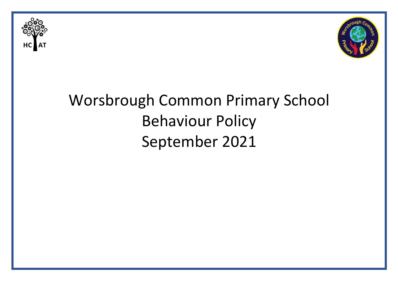



# Worsbrough Common Primary School Behaviour Policy September 2021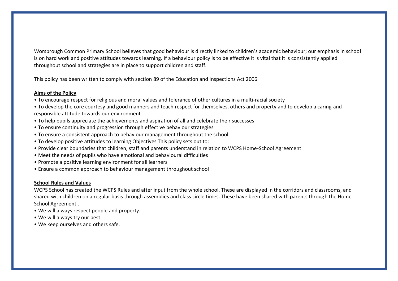Worsbrough Common Primary School believes that good behaviour is directly linked to children's academic behaviour; our emphasis in school is on hard work and positive attitudes towards learning. If a behaviour policy is to be effective it is vital that it is consistently applied throughout school and strategies are in place to support children and staff.

This policy has been written to comply with section 89 of the Education and Inspections Act 2006

## **Aims of the Policy**

- To encourage respect for religious and moral values and tolerance of other cultures in a multi-racial society
- To develop the core courtesy and good manners and teach respect for themselves, others and property and to develop a caring and responsible attitude towards our environment
- To help pupils appreciate the achievements and aspiration of all and celebrate their successes
- To ensure continuity and progression through effective behaviour strategies
- To ensure a consistent approach to behaviour management throughout the school
- To develop positive attitudes to learning Objectives This policy sets out to:
- Provide clear boundaries that children, staff and parents understand in relation to WCPS Home-School Agreement
- Meet the needs of pupils who have emotional and behavioural difficulties
- Promote a positive learning environment for all learners
- Ensure a common approach to behaviour management throughout school

## **School Rules and Values**

WCPS School has created the WCPS Rules and after input from the whole school. These are displayed in the corridors and classrooms, and shared with children on a regular basis through assemblies and class circle times. These have been shared with parents through the Home-School Agreement .

- We will always respect people and property.
- We will always try our best.
- We keep ourselves and others safe.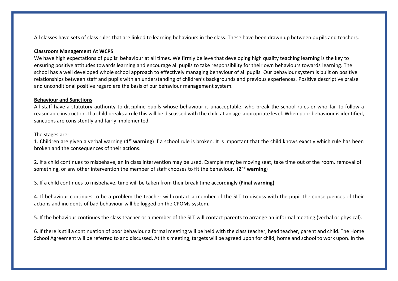All classes have sets of class rules that are linked to learning behaviours in the class. These have been drawn up between pupils and teachers.

#### **Classroom Management At WCPS**

We have high expectations of pupils' behaviour at all times. We firmly believe that developing high quality teaching learning is the key to ensuring positive attitudes towards learning and encourage all pupils to take responsibility for their own behaviours towards learning. The school has a well developed whole school approach to effectively managing behaviour of all pupils. Our behaviour system is built on positive relationships between staff and pupils with an understanding of children's backgrounds and previous experiences. Positive descriptive praise and unconditional positive regard are the basis of our behaviour management system.

#### **Behaviour and Sanctions**

All staff have a statutory authority to discipline pupils whose behaviour is unacceptable, who break the school rules or who fail to follow a reasonable instruction. If a child breaks a rule this will be discussed with the child at an age-appropriate level. When poor behaviour is identified, sanctions are consistently and fairly implemented.

#### The stages are:

1. Children are given a verbal warning (1<sup>st</sup> warning) if a school rule is broken. It is important that the child knows exactly which rule has been broken and the consequences of their actions.

2. If a child continues to misbehave, an in class intervention may be used. Example may be moving seat, take time out of the room, removal of something, or any other intervention the member of staff chooses to fit the behaviour. (**2 nd warning**)

3. If a child continues to misbehave, time will be taken from their break time accordingly **(Final warning)**

4. If behaviour continues to be a problem the teacher will contact a member of the SLT to discuss with the pupil the consequences of their actions and incidents of bad behaviour will be logged on the CPOMs system.

5. If the behaviour continues the class teacher or a member of the SLT will contact parents to arrange an informal meeting (verbal or physical).

6. If there is still a continuation of poor behaviour a formal meeting will be held with the class teacher, head teacher, parent and child. The Home School Agreement will be referred to and discussed. At this meeting, targets will be agreed upon for child, home and school to work upon. In the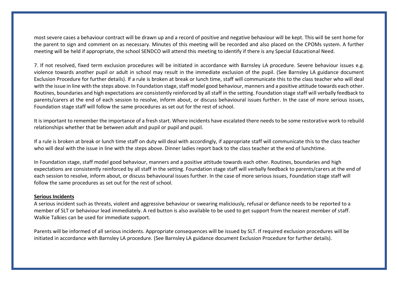most severe cases a behaviour contract will be drawn up and a record of positive and negative behaviour will be kept. This will be sent home for the parent to sign and comment on as necessary. Minutes of this meeting will be recorded and also placed on the CPOMs system. A further meeting will be held if appropriate, the school SENDCO will attend this meeting to identify if there is any Special Educational Need.

7. If not resolved, fixed term exclusion procedures will be initiated in accordance with Barnsley LA procedure. Severe behaviour issues e.g. violence towards another pupil or adult in school may result in the immediate exclusion of the pupil. (See Barnsley LA guidance document Exclusion Procedure for further details). If a rule is broken at break or lunch time, staff will communicate this to the class teacher who will deal with the issue in line with the steps above. In Foundation stage, staff model good behaviour, manners and a positive attitude towards each other. Routines, boundaries and high expectations are consistently reinforced by all staff in the setting. Foundation stage staff will verbally feedback to parents/carers at the end of each session to resolve, inform about, or discuss behavioural issues further. In the case of more serious issues, Foundation stage staff will follow the same procedures as set out for the rest of school.

It is important to remember the importance of a fresh start. Where incidents have escalated there needs to be some restorative work to rebuild relationships whether that be between adult and pupil or pupil and pupil.

If a rule is broken at break or lunch time staff on duty will deal with accordingly, if appropriate staff will communicate this to the class teacher who will deal with the issue in line with the steps above. Dinner ladies report back to the class teacher at the end of lunchtime.

In Foundation stage, staff model good behaviour, manners and a positive attitude towards each other. Routines, boundaries and high expectations are consistently reinforced by all staff in the setting. Foundation stage staff will verbally feedback to parents/carers at the end of each session to resolve, inform about, or discuss behavioural issues further. In the case of more serious issues, Foundation stage staff will follow the same procedures as set out for the rest of school.

#### **Serious Incidents**

A serious incident such as threats, violent and aggressive behaviour or swearing maliciously, refusal or defiance needs to be reported to a member of SLT or behaviour lead immediately. A red button is also available to be used to get support from the nearest member of staff. Walkie Talkies can be used for immediate support.

Parents will be informed of all serious incidents. Appropriate consequences will be issued by SLT. If required exclusion procedures will be initiated in accordance with Barnsley LA procedure. (See Barnsley LA guidance document Exclusion Procedure for further details).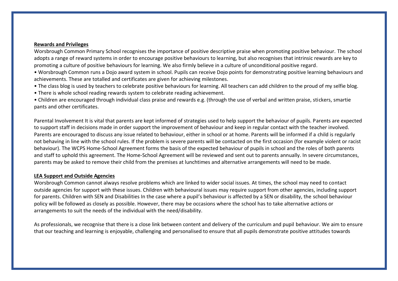### **Rewards and Privileges**

Worsbrough Common Primary School recognises the importance of positive descriptive praise when promoting positive behaviour. The school adopts a range of reward systems in order to encourage positive behaviours to learning, but also recognises that intrinsic rewards are key to promoting a culture of positive behaviours for learning. We also firmly believe in a culture of unconditional positive regard.

• Worsbrough Common runs a Dojo award system in school. Pupils can receive Dojo points for demonstrating positive learning behaviours and achievements. These are totalled and certificates are given for achieving milestones.

- The class blog is used by teachers to celebrate positive behaviours for learning. All teachers can add children to the proud of my selfie blog.
- There is whole school reading rewards system to celebrate reading achievement.

• Children are encouraged through individual class praise and rewards e.g. (through the use of verbal and written praise, stickers, smartie pants and other certificates.

Parental Involvement It is vital that parents are kept informed of strategies used to help support the behaviour of pupils. Parents are expected to support staff in decisions made in order support the improvement of behaviour and keep in regular contact with the teacher involved. Parents are encouraged to discuss any issue related to behaviour, either in school or at home. Parents will be informed if a child is regularly not behaving in line with the school rules. If the problem is severe parents will be contacted on the first occasion (for example violent or racist behaviour). The WCPS Home-School Agreement forms the basis of the expected behaviour of pupils in school and the roles of both parents and staff to uphold this agreement. The Home-School Agreement will be reviewed and sent out to parents annually. In severe circumstances, parents may be asked to remove their child from the premises at lunchtimes and alternative arrangements will need to be made.

#### **LEA Support and Outside Agencies**

Worsbrough Common cannot always resolve problems which are linked to wider social issues. At times, the school may need to contact outside agencies for support with these issues. Children with behavioural issues may require support from other agencies, including support for parents. Children with SEN and Disabilities In the case where a pupil's behaviour is affected by a SEN or disability, the school behaviour policy will be followed as closely as possible. However, there may be occasions where the school has to take alternative actions or arrangements to suit the needs of the individual with the need/disability.

As professionals, we recognise that there is a close link between content and delivery of the curriculum and pupil behaviour. We aim to ensure that our teaching and learning is enjoyable, challenging and personalised to ensure that all pupils demonstrate positive attitudes towards